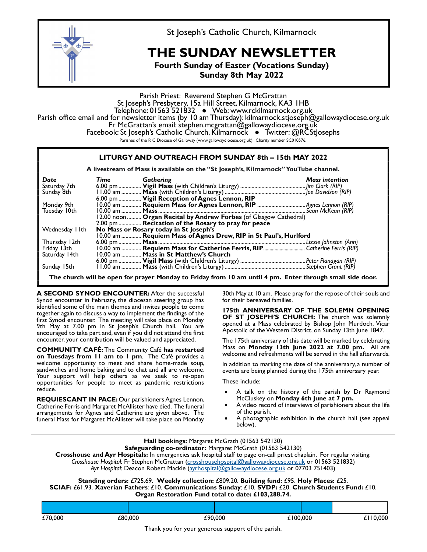

St Joseph's Catholic Church, Kilmarnock

## THE SUNDAY NEWSLETTER

Fourth Sunday of Easter (Vocations Sunday) Sunday 8th May 2022

Parish Priest: Reverend Stephen G McGrattan<br>St Joseph's Presbytery, 15a Hill Street, Kilmarnock, KA3 1HB Telephone: 01563 521832 • Web: www.rckilmarnock.org.uk<br>Parish office email and for newsletter items (by 10 am Thursday): kilmarnock.stjoseph@gallowaydiocese.org.uk<br>Fr McGrattan's email: stephen.mcgrattan@gallowaydiocese.or Parishes of the R C Diocese of Galloway (www.gallowaydiocese.org.uk). Charity number SC010576.

|                                                                                     | LITURGY AND OUTREACH FROM SUNDAY 8th - 15th MAY 2022                                                      |  |  |  |  |  |  |  |
|-------------------------------------------------------------------------------------|-----------------------------------------------------------------------------------------------------------|--|--|--|--|--|--|--|
| A livestream of Mass is available on the "St Joseph's, Kilmarnock" YouTube channel. |                                                                                                           |  |  |  |  |  |  |  |
| Date                                                                                | Gathering<br><b>Mass intention</b><br>Time                                                                |  |  |  |  |  |  |  |
| Saturday 7th                                                                        |                                                                                                           |  |  |  |  |  |  |  |
| Sunday 8th                                                                          |                                                                                                           |  |  |  |  |  |  |  |
|                                                                                     | 6.00 pm  Vigil Reception of Agnes Lennon, RIP                                                             |  |  |  |  |  |  |  |
| Monday 9th                                                                          |                                                                                                           |  |  |  |  |  |  |  |
| Tuesday 10th                                                                        |                                                                                                           |  |  |  |  |  |  |  |
|                                                                                     | 12.00 noon  Organ Recital by Andrew Forbes (of Glasgow Cathedral)                                         |  |  |  |  |  |  |  |
|                                                                                     | 2.00 pm  Recitation of the Rosary to pray for peace                                                       |  |  |  |  |  |  |  |
| Wednesday IIth                                                                      | No Mass or Rosary today in St Joseph's                                                                    |  |  |  |  |  |  |  |
|                                                                                     | 10.00 am  Requiem Mass of Agnes Drew, RIP in St Paul's, Hurlford                                          |  |  |  |  |  |  |  |
| Thursday 12th                                                                       |                                                                                                           |  |  |  |  |  |  |  |
| Friday 13th                                                                         |                                                                                                           |  |  |  |  |  |  |  |
| Saturday 14th                                                                       | 10.00 am  Mass in St Matthew's Church                                                                     |  |  |  |  |  |  |  |
|                                                                                     |                                                                                                           |  |  |  |  |  |  |  |
| Sunday 15th                                                                         |                                                                                                           |  |  |  |  |  |  |  |
|                                                                                     | The church will be open for prayer Monday to Friday from 10 am until 4 pm. Enter through small side door. |  |  |  |  |  |  |  |

A SECOND SYNOD ENCOUNTER: After the successful Synod encounter in February, the diocesan steering group has identified some of the main themes and invites people to come together again to discuss a way to implement the findings of the first Synod encounter. The meeting will take place on Monday **SHOTER I** JUSEF 9th May at 7.00 pm in St Joseph's Church hall. You are encouraged to take part and, even if you did not attend the first encounter, your contribution will be valued and appreciated.

COMMUNITY CAFÉ: The Community Café has restarted on Tuesdays from 11 am to 1 pm. The Café provides a welcome opportunity to meet and share home-made soup, sandwiches and home baking and to chat and all are welcome. Your support will help others as we seek to re-open opportunities for people to meet as pandemic restrictions reduce.

REQUIESCANT IN PACE: Our parishioners Agnes Lennon, McCluskey on Monday 6th June at 7 pm. Catherine Ferris and Margaret McAllister have died. The funeral **Catherine Studes** Pavideo recoll<br>The same of the parish. arrangements for Agnes and Catherine are given above. The funeral Mass for Margaret McAllister will take place on Monday

30th May at 10 am. Please pray for the repose of their souls and for their bereaved families.

175th ANNIVERSARY OF THE SOLEMN OPENING OF ST JOSEPH'S CHURCH: The church was solemnly opened at a Mass celebrated by Bishop John Murdoch, Vicar Apostolic of the Western District, on Sunday 13th June 1847.

The 175th anniversary of this date will be marked by celebrating Mass on **Monday 13th June 2022 at 7.00 pm.** All are welcome and refreshments will be served in the hall afterwards.

In addition to marking the date of the anniversary, a number of events are being planned during the 175th anniversary year.

These include:

- A talk on the history of the parish by Dr Raymond
- A video record of interviews of parishioners about the life
- A photographic exhibition in the church hall (see appeal below).

|         | Hall bookings: Margaret McGrath (01563 542130)<br>Safeguarding co-ordinator: Margaret McGrath (01563 542130)<br>Crosshouse and Ayr Hospitals: In emergencies ask hospital staff to page on-call priest chaplain. For regular visiting:<br>Crosshouse Hospital: Fr Stephen McGrattan (crosshousehospital@gallowaydiocese.org.uk or 01563 521832)<br>Ayr Hospital: Deacon Robert Mackie (ayrhospital@gallowaydiocese.org.uk or 07703 751403)<br>Standing orders: £725.69. Weekly collection: £809.20. Building fund: £95. Holy Places: £25.<br>SCIAF: £61.93. Xaverian Fathers: £10. Communications Sunday: £10. SVDP: £20. Church Students Fund: £10.<br>Organ Restoration Fund total to date: £103,288.74. |         |          |          |  |  |  |  |  |  |  |
|---------|------------------------------------------------------------------------------------------------------------------------------------------------------------------------------------------------------------------------------------------------------------------------------------------------------------------------------------------------------------------------------------------------------------------------------------------------------------------------------------------------------------------------------------------------------------------------------------------------------------------------------------------------------------------------------------------------------------|---------|----------|----------|--|--|--|--|--|--|--|
|         |                                                                                                                                                                                                                                                                                                                                                                                                                                                                                                                                                                                                                                                                                                            |         |          |          |  |  |  |  |  |  |  |
| £70,000 | £80,000                                                                                                                                                                                                                                                                                                                                                                                                                                                                                                                                                                                                                                                                                                    | £90,000 | £100,000 | £110,000 |  |  |  |  |  |  |  |

Thank you for your generous support of the parish.